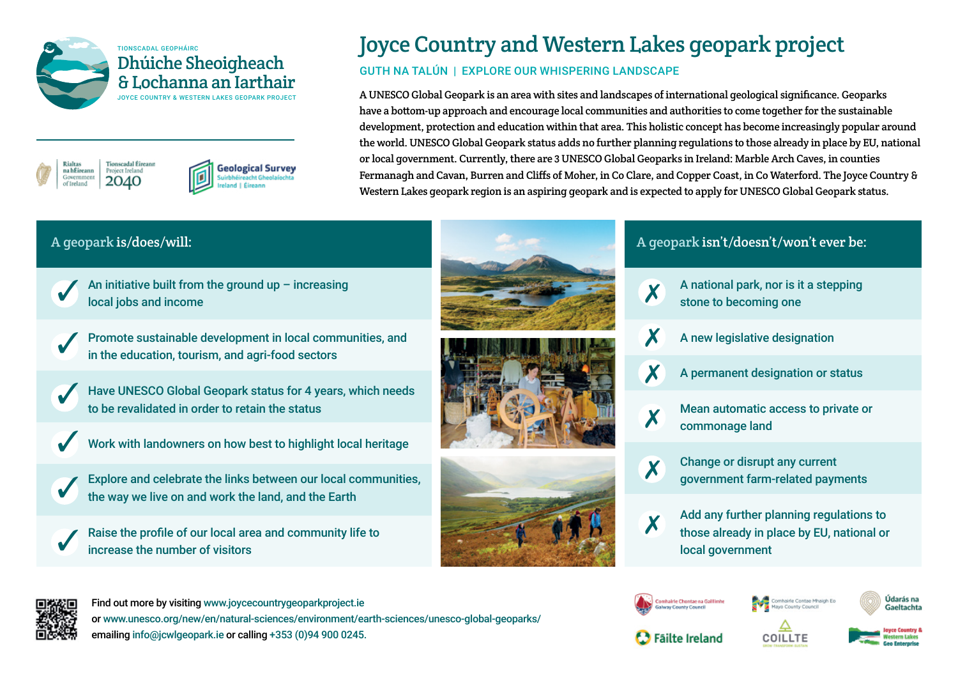



## Joyce Country and Western Lakes geopark project

#### GUTH NA TALÚN | EXPLORE OUR WHISPERING LANDSCAPE

A UNESCO Global Geopark is an area with sites and landscapes of international geological significance. Geoparks have a bottom-up approach and encourage local communities and authorities to come together for the sustainable development, protection and education within that area. This holistic concept has become increasingly popular around the world. UNESCO Global Geopark status adds no further planning regulations to those already in place by EU, national or local government. Currently, there are 3 UNESCO Global Geoparks in Ireland: Marble Arch Caves, in counties Fermanagh and Cavan, Burren and Cliffs of Moher, in Co Clare, and Copper Coast, in Co Waterford. The Joyce Country & Western Lakes geopark region is an aspiring geopark and is expected to apply for UNESCO Global Geopark status.

**Solution** An initiative built from the ground up – increasing <br> **◯ local iohs and income** local jobs and income

Promote sustainable development in local communities, and in the education, tourism, and agri-food sectors ✓

**Geological Survey** 



Have UNESCO Global Geopark status for 4 years, which needs to be revalidated in order to retain the status



Work with landowners on how best to highlight local heritage

Explore and celebrate the links between our local communities, the way we live on and work the land, and the Earth ✓

Raise the profile of our local area and community life to increase the number of visitors ✓







#### A geopark is/does/will: A geopark isn't/doesn't/won't ever be:



A national park, nor is it a stepping stone to becoming one



A new legislative designation



A permanent designation or status

✗

Mean automatic access to private or commonage land



Change or disrupt any current government farm-related payments



Add any further planning regulations to those already in place by EU, national or local government



Find out more by visiting [www.joycecountrygeoparkproject.ie](http://www.joycecountrygeoparkproject.ie) or www.unesco.org/new/en/natural-sciences/environment/earth-sciences/unesco-global-geoparks/ emailing info@jcwlgeopark.ie or calling +353 (0)94 900 0245.





vairle Contae Mhaigh Ed



Údarás na

Gaeltachta